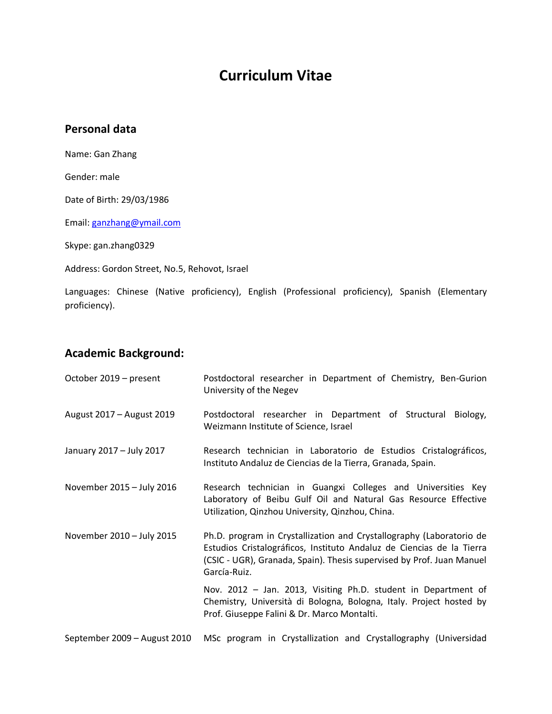# **Curriculum Vitae**

## **Personal data**

Name: Gan Zhang

Gender: male

Date of Birth: 29/03/1986

Email: [ganzhang@ymail.com](mailto:ganzhang@ymail.com)

Skype: gan.zhang0329

Address: Gordon Street, No.5, Rehovot, Israel

Languages: Chinese (Native proficiency), English (Professional proficiency), Spanish (Elementary proficiency).

## **Academic Background:**

| October 2019 - present       | Postdoctoral researcher in Department of Chemistry, Ben-Gurion<br>University of the Negev                                                                                                                                              |
|------------------------------|----------------------------------------------------------------------------------------------------------------------------------------------------------------------------------------------------------------------------------------|
| August 2017 - August 2019    | Postdoctoral researcher in Department of Structural Biology,<br>Weizmann Institute of Science, Israel                                                                                                                                  |
| January 2017 - July 2017     | Research technician in Laboratorio de Estudios Cristalográficos,<br>Instituto Andaluz de Ciencias de la Tierra, Granada, Spain.                                                                                                        |
| November 2015 - July 2016    | Research technician in Guangxi Colleges and Universities Key<br>Laboratory of Beibu Gulf Oil and Natural Gas Resource Effective<br>Utilization, Qinzhou University, Qinzhou, China.                                                    |
| November 2010 - July 2015    | Ph.D. program in Crystallization and Crystallography (Laboratorio de<br>Estudios Cristalográficos, Instituto Andaluz de Ciencias de la Tierra<br>(CSIC - UGR), Granada, Spain). Thesis supervised by Prof. Juan Manuel<br>García-Ruiz. |
|                              | Nov. 2012 - Jan. 2013, Visiting Ph.D. student in Department of<br>Chemistry, Università di Bologna, Bologna, Italy. Project hosted by<br>Prof. Giuseppe Falini & Dr. Marco Montalti.                                                   |
| September 2009 - August 2010 | MSc program in Crystallization and Crystallography (Universidad                                                                                                                                                                        |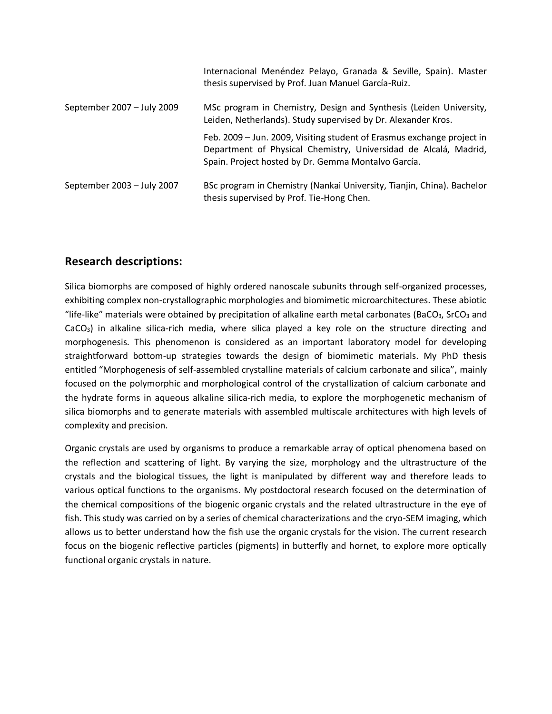|                            | Internacional Menéndez Pelayo, Granada & Seville, Spain). Master<br>thesis supervised by Prof. Juan Manuel García-Ruiz.                                                                           |
|----------------------------|---------------------------------------------------------------------------------------------------------------------------------------------------------------------------------------------------|
| September 2007 - July 2009 | MSc program in Chemistry, Design and Synthesis (Leiden University,<br>Leiden, Netherlands). Study supervised by Dr. Alexander Kros.                                                               |
|                            | Feb. 2009 - Jun. 2009, Visiting student of Erasmus exchange project in<br>Department of Physical Chemistry, Universidad de Alcalá, Madrid,<br>Spain. Project hosted by Dr. Gemma Montalvo García. |
| September 2003 - July 2007 | BSc program in Chemistry (Nankai University, Tianjin, China). Bachelor<br>thesis supervised by Prof. Tie-Hong Chen.                                                                               |

# **Research descriptions:**

Silica biomorphs are composed of highly ordered nanoscale subunits through self-organized processes, exhibiting complex non-crystallographic morphologies and biomimetic microarchitectures. These abiotic "life-like" materials were obtained by precipitation of alkaline earth metal carbonates (BaCO<sub>3</sub>, SrCO<sub>3</sub> and  $CaCO<sub>3</sub>$ ) in alkaline silica-rich media, where silica played a key role on the structure directing and morphogenesis. This phenomenon is considered as an important laboratory model for developing straightforward bottom-up strategies towards the design of biomimetic materials. My PhD thesis entitled "Morphogenesis of self-assembled crystalline materials of calcium carbonate and silica", mainly focused on the polymorphic and morphological control of the crystallization of calcium carbonate and the hydrate forms in aqueous alkaline silica-rich media, to explore the morphogenetic mechanism of silica biomorphs and to generate materials with assembled multiscale architectures with high levels of complexity and precision.

Organic crystals are used by organisms to produce a remarkable array of optical phenomena based on the reflection and scattering of light. By varying the size, morphology and the ultrastructure of the crystals and the biological tissues, the light is manipulated by different way and therefore leads to various optical functions to the organisms. My postdoctoral research focused on the determination of the chemical compositions of the biogenic organic crystals and the related ultrastructure in the eye of fish. This study was carried on by a series of chemical characterizations and the cryo-SEM imaging, which allows us to better understand how the fish use the organic crystals for the vision. The current research focus on the biogenic reflective particles (pigments) in butterfly and hornet, to explore more optically functional organic crystals in nature.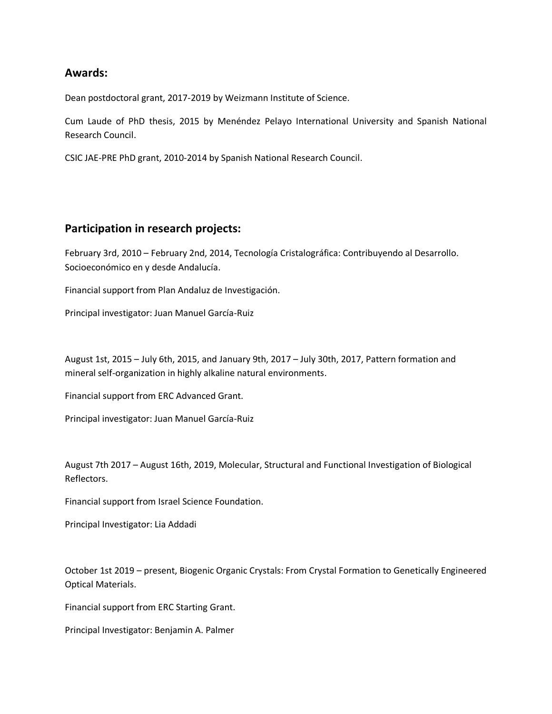## **Awards:**

Dean postdoctoral grant, 2017-2019 by Weizmann Institute of Science.

Cum Laude of PhD thesis, 2015 by Menéndez Pelayo International University and Spanish National Research Council.

CSIC JAE-PRE PhD grant, 2010-2014 by Spanish National Research Council.

## **Participation in research projects:**

February 3rd, 2010 – February 2nd, 2014, Tecnología Cristalográfica: Contribuyendo al Desarrollo. Socioeconómico en y desde Andalucía.

Financial support from Plan Andaluz de Investigación.

Principal investigator: Juan Manuel García-Ruiz

August 1st, 2015 – July 6th, 2015, and January 9th, 2017 – July 30th, 2017, Pattern formation and mineral self-organization in highly alkaline natural environments.

Financial support from ERC Advanced Grant.

Principal investigator: Juan Manuel García-Ruiz

August 7th 2017 – August 16th, 2019, Molecular, Structural and Functional Investigation of Biological Reflectors.

Financial support from Israel Science Foundation.

Principal Investigator: Lia Addadi

October 1st 2019 – present, Biogenic Organic Crystals: From Crystal Formation to Genetically Engineered Optical Materials.

Financial support from ERC Starting Grant.

Principal Investigator: Benjamin A. Palmer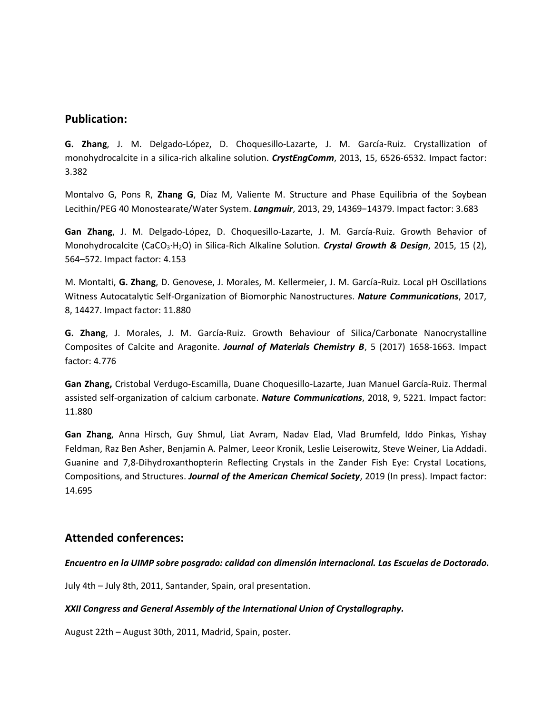## **Publication:**

**G. Zhang**, J. M. Delgado-López, D. Choquesillo-Lazarte, J. M. García-Ruiz. Crystallization of monohydrocalcite in a silica-rich alkaline solution. *CrystEngComm*, 2013, 15, 6526-6532. Impact factor: 3.382

Montalvo G, Pons R, **Zhang G**, Díaz M, Valiente M. Structure and Phase Equilibria of the Soybean Lecithin/PEG 40 Monostearate/Water System. *Langmuir*, 2013, 29, 14369−14379. Impact factor: 3.683

**Gan Zhang**, J. M. Delgado-López, D. Choquesillo-Lazarte, J. M. García-Ruiz. Growth Behavior of Monohydrocalcite (CaCO3·H2O) in Silica-Rich Alkaline Solution. *Crystal Growth & Design*, 2015, 15 (2), 564–572. Impact factor: 4.153

M. Montalti, **G. Zhang**, D. Genovese, J. Morales, M. Kellermeier, J. M. García-Ruiz. Local pH Oscillations Witness Autocatalytic Self-Organization of Biomorphic Nanostructures. *Nature Communications*, 2017, 8, 14427. Impact factor: 11.880

**G. Zhang**, J. Morales, J. M. García-Ruiz. Growth Behaviour of Silica/Carbonate Nanocrystalline Composites of Calcite and Aragonite. *Journal of Materials Chemistry B*, 5 (2017) 1658-1663. Impact factor: 4.776

**Gan Zhang,** Cristobal Verdugo-Escamilla, Duane Choquesillo-Lazarte, Juan Manuel García-Ruiz. Thermal assisted self-organization of calcium carbonate. *Nature Communications*, 2018, 9, 5221. Impact factor: 11.880

**Gan Zhang**, Anna Hirsch, Guy Shmul, Liat Avram, Nadav Elad, Vlad Brumfeld, Iddo Pinkas, Yishay Feldman, Raz Ben Asher, Benjamin A. Palmer, Leeor Kronik, Leslie Leiserowitz, Steve Weiner, Lia Addadi. Guanine and 7,8-Dihydroxanthopterin Reflecting Crystals in the Zander Fish Eye: Crystal Locations, Compositions, and Structures. *Journal of the American Chemical Society*, 2019 (In press). Impact factor: 14.695

## **Attended conferences:**

## *Encuentro en la UIMP sobre posgrado: calidad con dimensión internacional. Las Escuelas de Doctorado.*

July 4th – July 8th, 2011, Santander, Spain, oral presentation.

## *XXII Congress and General Assembly of the International Union of Crystallography.*

August 22th – August 30th, 2011, Madrid, Spain, poster.